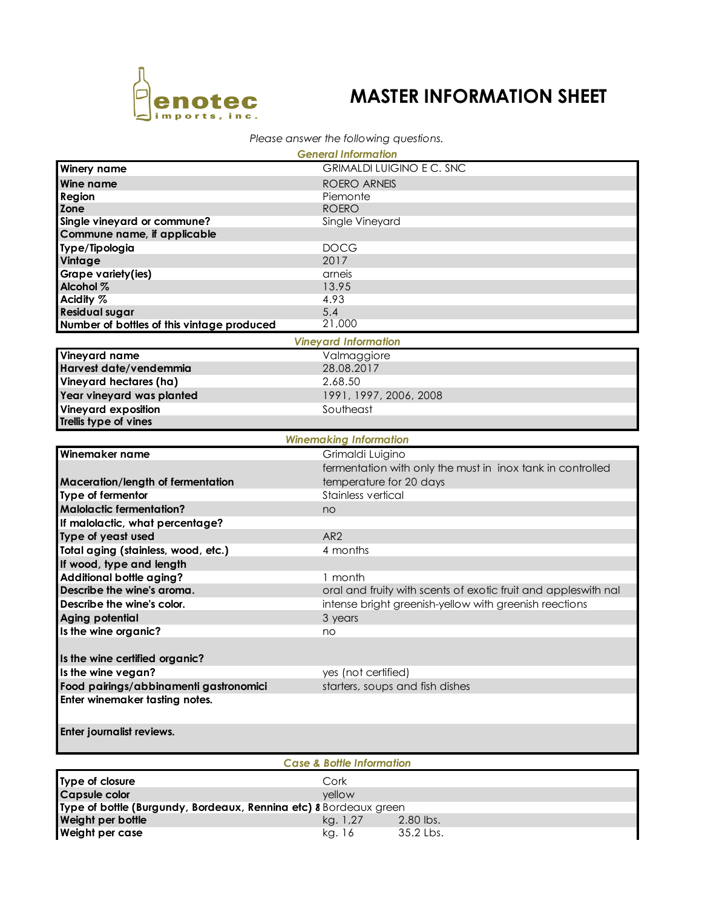

## **MASTER INFORMATION SHEET**

## *Please answer the following questions.*

| <b>General Information</b>                 |                                                                |  |  |  |  |
|--------------------------------------------|----------------------------------------------------------------|--|--|--|--|
| <b>Winery name</b>                         | <b>GRIMALDI LUIGINO E C. SNC</b>                               |  |  |  |  |
| <b>Wine name</b>                           | <b>ROERO ARNEIS</b>                                            |  |  |  |  |
| Region                                     | Piemonte                                                       |  |  |  |  |
| Zone                                       | <b>ROERO</b>                                                   |  |  |  |  |
| Single vineyard or commune?                | Single Vineyard                                                |  |  |  |  |
| Commune name, if applicable                |                                                                |  |  |  |  |
| Type/Tipologia                             | <b>DOCG</b>                                                    |  |  |  |  |
| Vintage                                    | 2017                                                           |  |  |  |  |
| Grape variety(ies)                         | arneis                                                         |  |  |  |  |
| Alcohol %                                  | 13.95                                                          |  |  |  |  |
| Acidity %                                  | 4.93                                                           |  |  |  |  |
| <b>Residual sugar</b>                      | 5.4                                                            |  |  |  |  |
| Number of bottles of this vintage produced | 21,000                                                         |  |  |  |  |
|                                            | <b>Vineyard Information</b>                                    |  |  |  |  |
| Vineyard name                              | Valmaggiore                                                    |  |  |  |  |
| Harvest date/vendemmia                     | 28.08.2017                                                     |  |  |  |  |
| Vineyard hectares (ha)                     | 2.68.50                                                        |  |  |  |  |
| Year vineyard was planted                  | 1991, 1997, 2006, 2008                                         |  |  |  |  |
| Vineyard exposition                        | Southeast                                                      |  |  |  |  |
| Trellis type of vines                      |                                                                |  |  |  |  |
|                                            | <b>Winemaking Information</b>                                  |  |  |  |  |
| Winemaker name                             | Grimaldi Luigino                                               |  |  |  |  |
|                                            | fermentation with only the must in inox tank in controlled     |  |  |  |  |
| Maceration/length of fermentation          | temperature for 20 days                                        |  |  |  |  |
| Type of fermentor                          | Stainless vertical                                             |  |  |  |  |
| <b>Malolactic fermentation?</b>            | no                                                             |  |  |  |  |
| If malolactic, what percentage?            |                                                                |  |  |  |  |
| Type of yeast used                         | AR <sub>2</sub>                                                |  |  |  |  |
| Total aging (stainless, wood, etc.)        | 4 months                                                       |  |  |  |  |
| If wood, type and length                   |                                                                |  |  |  |  |
| Additional bottle aging?                   | 1 month                                                        |  |  |  |  |
| Describe the wine's aroma.                 | oral and fruity with scents of exotic fruit and appleswith nal |  |  |  |  |
| Describe the wine's color.                 | intense bright greenish-yellow with greenish reections         |  |  |  |  |
| Aging potential                            | 3 years                                                        |  |  |  |  |
| Is the wine organic?                       | no                                                             |  |  |  |  |
|                                            |                                                                |  |  |  |  |
| Is the wine certified organic?             |                                                                |  |  |  |  |
| Is the wine vegan?                         | yes (not certified)                                            |  |  |  |  |
| Food pairings/abbinamenti gastronomici     | starters, soups and fish dishes                                |  |  |  |  |
| Enter winemaker tasting notes.             |                                                                |  |  |  |  |
|                                            |                                                                |  |  |  |  |
| Enter journalist reviews.                  |                                                                |  |  |  |  |
|                                            |                                                                |  |  |  |  |
| <b>Case &amp; Bottle Information</b>       |                                                                |  |  |  |  |
| Type of closure                            | Cork                                                           |  |  |  |  |
|                                            |                                                                |  |  |  |  |

| <b>Type of Closure</b>                                            | COIK     |           |  |  |  |  |
|-------------------------------------------------------------------|----------|-----------|--|--|--|--|
| <b>Capsule color</b>                                              | vellow   |           |  |  |  |  |
| Type of bottle (Burgundy, Bordeaux, Rennina etc) 8 Bordeaux green |          |           |  |  |  |  |
| Weight per bottle                                                 | ka. 1.27 | 2.80 lbs. |  |  |  |  |
| Weight per case                                                   | kg. 16   | 35.2 Lbs. |  |  |  |  |